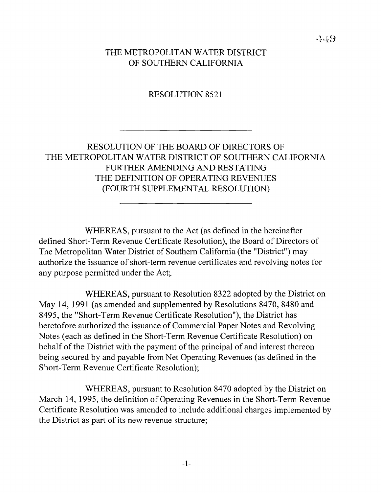$449$ 

RESOLUTION 8521

## RESOLUTION OF THE BOARD OF DIRECTORS OF THE METROPOLITAN WATER DISTRICT OF SOUTHERN CALIFORNIA FURTHER AMENDING AND RESTATING THE DEFINITION OF OPERATING REVENUES (FOURTH SUPPLEMENTAL RESOLUTION)

WHEREAS, pursuant to the Act (as defined in the hereinafter defined Short-Term Revenue Certificate Resolution), the Board of Directors of The Metropolitan Water District of Southern California (the "District") may authorize the issuance of short-term revenue certificates and revolving notes for any purpose permitted under the Act;

WHEREAS, pursuant to Resolution 8322 adopted by the District on May 14, 1991 (as amended and supplemented by Resolutions 8470, 8480 and 8495, the "Short-Term Revenue Certificate Resolution"), the District has heretofore authorized the issuance of Commercial Paper Notes and Revolving Notes (each as defined in the Short-Term Revenue Certificate Resolution) on behalf of the District with the payment of the principal of and interest thereon being secured by and payable from Net Operating Revenues (as defined in the Short-Term Revenue Certificate Resolution);

WHEREAS, pursuant to Resolution 8470 adopted by the District on March 14, 1995, the definition of Operating Revenues in the Short-Term Revenue Certificate Resolution was amended to include additional charges implemented by the District as part of its new revenue structure;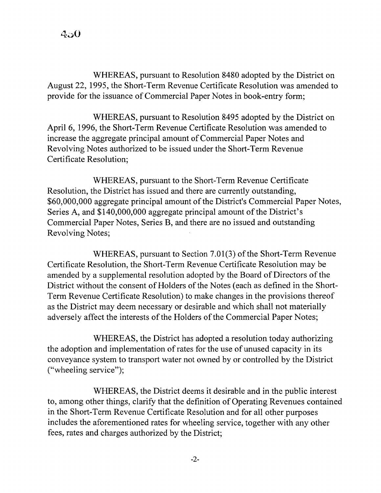WHEREAS, pursuant to Resolution 8480 adopted by the District on August 22, 1995, the Short-Term Revenue Certificate Resolution was amended to provide for the issuance of Commercial Paper Notes in book-entry form;

WHEREAS, pursuant to Resolution 8495 adopted by the District on April 6, 1996, the Short-Term Revenue Certificate Resolution was amended to increase the aggregate principal amount of Commercial Paper Notes and Revolving Notes authorized to be issued under the Short-Term Revenue Certificate Resolution;

WHEREAS, pursuant to the Short-Term Revenue Certificate Resolution, the District has issued and there are currently outstanding, \$60,000,000 aggregate principal amount of the District's Commercial Paper Notes, Series A, and \$140,000,000 aggregate principal amount of the District's Commercial Paper Notes, Series B, and there are no issued and outstanding Revolving Notes;

WHEREAS, pursuant to Section 7.01(3) of the Short-Term Revenue Certificate Resolution, the Short-Term Revenue Certificate Resolution may be amended by a supplemental resolution adopted by the Board of Directors of the District without the consent of Holders of the Notes (each as defined in the Short-Term Revenue Certificate Resolution) to make changes in the provisions thereof as the District may deem necessary or desirable and which shall not materially adversely affect the interests of the Holders of the Commercial Paper Notes;

WHEREAS, the District has adopted a resolution today authorizing the adoption and implementation of rates for the use of unused capacity in its conveyance system to transport water not owned by or controlled by the District ("wheeling service");

WHEREAS, the District deems it desirable and in the public interest to, among other things, clarify that the definition of Operating Revenues contained in the Short-Term Revenue Certificate Resolution and for all other purposes includes the aforementioned rates for wheeling service, together with any other fees, rates and charges authorized by the District;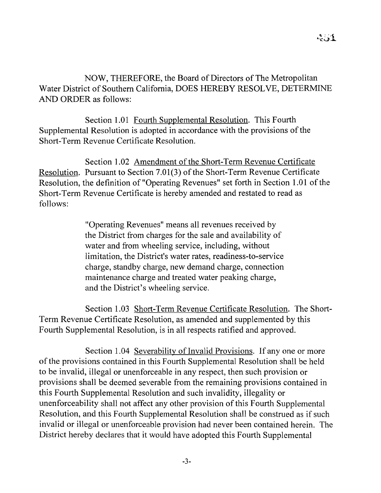NOW, THEREFORE, the Board of Directors of The Metropolitan Water District of Southern California, DOES HEREBY RESOLVE, DETERMINE AND ORDER as follows:

Section 1.01 Fourth Supplemental Resolution. This Fourth Supplemental Resolution is adopted in accordance with the provisions of the Short-Term Revenue Certificate Resolution.

Section 1.02 Amendment of the Short-Term Revenue Certificate Resolution. Pursuant to Section 7.01(3) of the Short-Term Revenue Certificate Resolution, the definition of "Operating Revenues" set forth in Section 1.01 of the Short-Term Revenue Certificate is hereby amended and restated to read as follows:

> "Operating Revenues" means all revenues received by the District from charges for the sale and availability of water and from wheeling service, including, without limitation, the District's water rates, readiness-to-service charge, standby charge, new demand charge, connection maintenance charge and treated water peaking charge, and the District's wheeling service.

Section 1.03 Short-Term Revenue Certificate Resolution. The Short-Term Revenue Certificate Resolution, as amended and supplemented by this Fourth Supplemental Resolution, is in all respects ratified and approved.

Section 1.04 Severability of Invalid Provisions. If any one or more of the provisions contained in this Fourth Supplemental Resolution shall be held to be invalid, illegal or unenforceable in any respect, then such provision or provisions shall be deemed severable from the remaining provisions contained in this Fourth Supplemental Resolution and such invalidity, illegality or unenforceability shall not affect any other provision of this Fourth Supplemental Resolution, and this Fourth Supplemental Resolution shall be construed as if such invalid or illegal or unenforceable provision had never been contained herein. The District hereby declares that it would have adopted this Fourth Supplemental